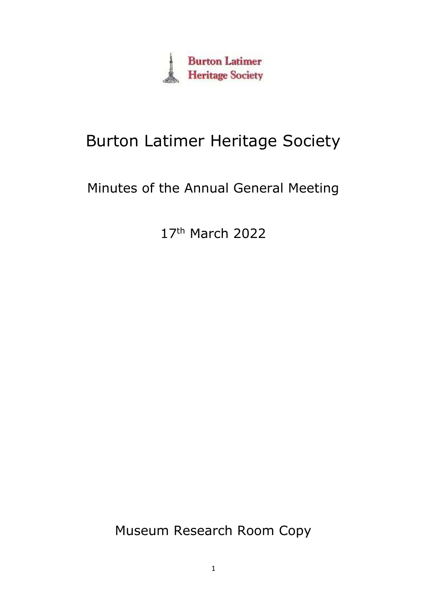

# Burton Latimer Heritage Society

## Minutes of the Annual General Meeting

17<sup>th</sup> March 2022

Museum Research Room Copy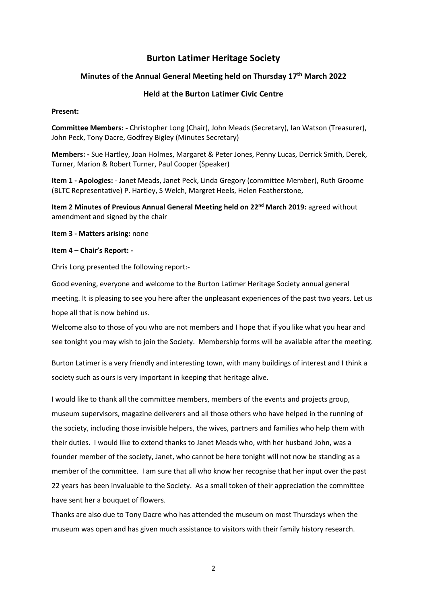## **Burton Latimer Heritage Society**

#### **Minutes of the Annual General Meeting held on Thursday 17th March 2022**

#### **Held at the Burton Latimer Civic Centre**

#### **Present:**

**Committee Members: -** Christopher Long (Chair), John Meads (Secretary), Ian Watson (Treasurer), John Peck, Tony Dacre, Godfrey Bigley (Minutes Secretary)

**Members: -** Sue Hartley, Joan Holmes, Margaret & Peter Jones, Penny Lucas, Derrick Smith, Derek, Turner, Marion & Robert Turner, Paul Cooper (Speaker)

**Item 1 - Apologies:** - Janet Meads, Janet Peck, Linda Gregory (committee Member), Ruth Groome (BLTC Representative) P. Hartley, S Welch, Margret Heels, Helen Featherstone,

**Item 2 Minutes of Previous Annual General Meeting held on 22nd March 2019:** agreed without amendment and signed by the chair

#### **Item 3 - Matters arising:** none

#### **Item 4 – Chair's Report: -**

Chris Long presented the following report:-

Good evening, everyone and welcome to the Burton Latimer Heritage Society annual general meeting. It is pleasing to see you here after the unpleasant experiences of the past two years. Let us hope all that is now behind us.

Welcome also to those of you who are not members and I hope that if you like what you hear and see tonight you may wish to join the Society. Membership forms will be available after the meeting.

Burton Latimer is a very friendly and interesting town, with many buildings of interest and I think a society such as ours is very important in keeping that heritage alive.

I would like to thank all the committee members, members of the events and projects group, museum supervisors, magazine deliverers and all those others who have helped in the running of the society, including those invisible helpers, the wives, partners and families who help them with their duties. I would like to extend thanks to Janet Meads who, with her husband John, was a founder member of the society, Janet, who cannot be here tonight will not now be standing as a member of the committee. I am sure that all who know her recognise that her input over the past 22 years has been invaluable to the Society. As a small token of their appreciation the committee have sent her a bouquet of flowers.

Thanks are also due to Tony Dacre who has attended the museum on most Thursdays when the museum was open and has given much assistance to visitors with their family history research.

2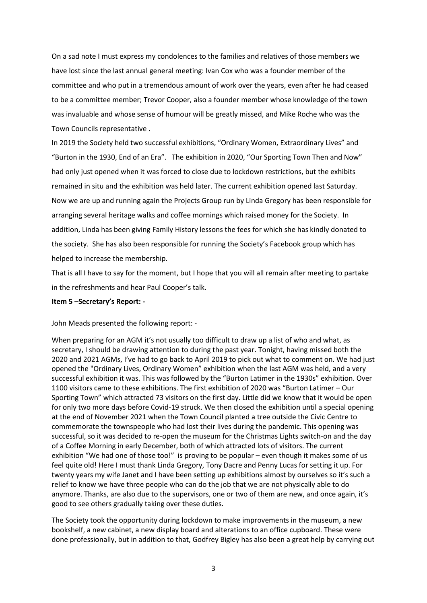On a sad note I must express my condolences to the families and relatives of those members we have lost since the last annual general meeting: Ivan Cox who was a founder member of the committee and who put in a tremendous amount of work over the years, even after he had ceased to be a committee member; Trevor Cooper, also a founder member whose knowledge of the town was invaluable and whose sense of humour will be greatly missed, and Mike Roche who was the Town Councils representative .

In 2019 the Society held two successful exhibitions, "Ordinary Women, Extraordinary Lives" and "Burton in the 1930, End of an Era". The exhibition in 2020, "Our Sporting Town Then and Now" had only just opened when it was forced to close due to lockdown restrictions, but the exhibits remained in situ and the exhibition was held later. The current exhibition opened last Saturday. Now we are up and running again the Projects Group run by Linda Gregory has been responsible for arranging several heritage walks and coffee mornings which raised money for the Society. In addition, Linda has been giving Family History lessons the fees for which she has kindly donated to the society. She has also been responsible for running the Society's Facebook group which has helped to increase the membership.

That is all I have to say for the moment, but I hope that you will all remain after meeting to partake in the refreshments and hear Paul Cooper's talk.

#### **Item 5 –Secretary's Report: -**

John Meads presented the following report: -

When preparing for an AGM it's not usually too difficult to draw up a list of who and what, as secretary, I should be drawing attention to during the past year. Tonight, having missed both the 2020 and 2021 AGMs, I've had to go back to April 2019 to pick out what to comment on. We had just opened the "Ordinary Lives, Ordinary Women" exhibition when the last AGM was held, and a very successful exhibition it was. This was followed by the "Burton Latimer in the 1930s" exhibition. Over 1100 visitors came to these exhibitions. The first exhibition of 2020 was "Burton Latimer – Our Sporting Town" which attracted 73 visitors on the first day. Little did we know that it would be open for only two more days before Covid-19 struck. We then closed the exhibition until a special opening at the end of November 2021 when the Town Council planted a tree outside the Civic Centre to commemorate the townspeople who had lost their lives during the pandemic. This opening was successful, so it was decided to re-open the museum for the Christmas Lights switch-on and the day of a Coffee Morning in early December, both of which attracted lots of visitors. The current exhibition "We had one of those too!" is proving to be popular – even though it makes some of us feel quite old! Here I must thank Linda Gregory, Tony Dacre and Penny Lucas for setting it up. For twenty years my wife Janet and I have been setting up exhibitions almost by ourselves so it's such a relief to know we have three people who can do the job that we are not physically able to do anymore. Thanks, are also due to the supervisors, one or two of them are new, and once again, it's good to see others gradually taking over these duties.

The Society took the opportunity during lockdown to make improvements in the museum, a new bookshelf, a new cabinet, a new display board and alterations to an office cupboard. These were done professionally, but in addition to that, Godfrey Bigley has also been a great help by carrying out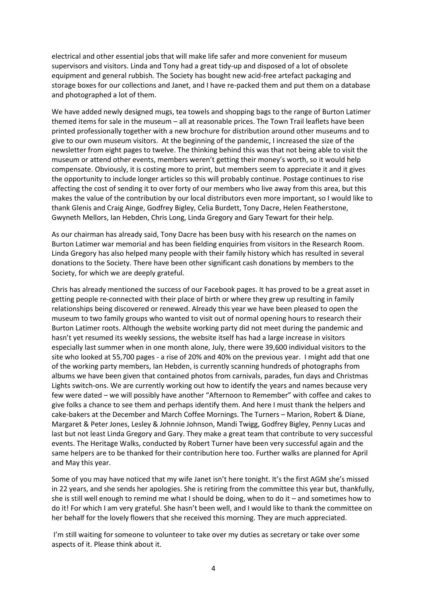electrical and other essential jobs that will make life safer and more convenient for museum supervisors and visitors. Linda and Tony had a great tidy-up and disposed of a lot of obsolete equipment and general rubbish*.* The Society has bought new acid-free artefact packaging and storage boxes for our collections and Janet, and I have re-packed them and put them on a database and photographed a lot of them.

We have added newly designed mugs, tea towels and shopping bags to the range of Burton Latimer themed items for sale in the museum – all at reasonable prices. The Town Trail leaflets have been printed professionally together with a new brochure for distribution around other museums and to give to our own museum visitors. At the beginning of the pandemic, I increased the size of the newsletter from eight pages to twelve. The thinking behind this was that not being able to visit the museum or attend other events, members weren't getting their money's worth, so it would help compensate. Obviously, it is costing more to print, but members seem to appreciate it and it gives the opportunity to include longer articles so this will probably continue. Postage continues to rise affecting the cost of sending it to over forty of our members who live away from this area, but this makes the value of the contribution by our local distributors even more important, so I would like to thank Glenis and Craig Ainge, Godfrey Bigley, Celia Burdett, Tony Dacre, Helen Featherstone, Gwyneth Mellors, Ian Hebden, Chris Long, Linda Gregory and Gary Tewart for their help.

As our chairman has already said, Tony Dacre has been busy with his research on the names on Burton Latimer war memorial and has been fielding enquiries from visitors in the Research Room. Linda Gregory has also helped many people with their family history which has resulted in several donations to the Society. There have been other significant cash donations by members to the Society, for which we are deeply grateful.

Chris has already mentioned the success of our Facebook pages. It has proved to be a great asset in getting people re-connected with their place of birth or where they grew up resulting in family relationships being discovered or renewed. Already this year we have been pleased to open the museum to two family groups who wanted to visit out of normal opening hours to research their Burton Latimer roots. Although the website working party did not meet during the pandemic and hasn't yet resumed its weekly sessions, the website itself has had a large increase in visitors especially last summer when in one month alone, July, there were 39,600 individual visitors to the site who looked at 55,700 pages - a rise of 20% and 40% on the previous year. I might add that one of the working party members, Ian Hebden, is currently scanning hundreds of photographs from albums we have been given that contained photos from carnivals, parades, fun days and Christmas Lights switch-ons. We are currently working out how to identify the years and names because very few were dated – we will possibly have another "Afternoon to Remember" with coffee and cakes to give folks a chance to see them and perhaps identify them. And here I must thank the helpers and cake-bakers at the December and March Coffee Mornings. The Turners – Marion, Robert & Diane, Margaret & Peter Jones, Lesley & Johnnie Johnson, Mandi Twigg, Godfrey Bigley, Penny Lucas and last but not least Linda Gregory and Gary. They make a great team that contribute to very successful events. The Heritage Walks, conducted by Robert Turner have been very successful again and the same helpers are to be thanked for their contribution here too. Further walks are planned for April and May this year.

Some of you may have noticed that my wife Janet isn't here tonight. It's the first AGM she's missed in 22 years, and she sends her apologies. She is retiring from the committee this year but, thankfully, she is still well enough to remind me what I should be doing, when to do it – and sometimes how to do it! For which I am very grateful. She hasn't been well, and I would like to thank the committee on her behalf for the lovely flowers that she received this morning. They are much appreciated.

I'm still waiting for someone to volunteer to take over my duties as secretary or take over some aspects of it. Please think about it.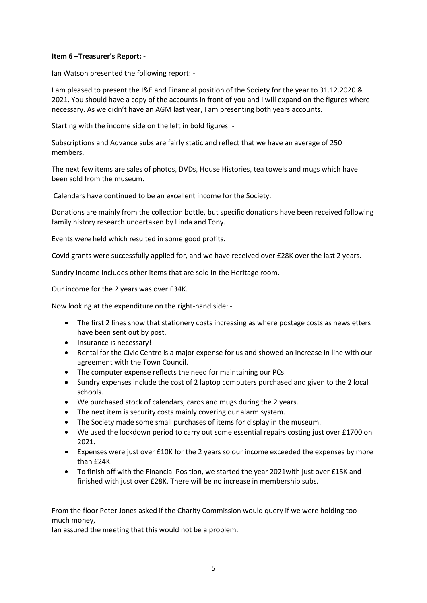#### **Item 6 –Treasurer's Report: -**

Ian Watson presented the following report: -

I am pleased to present the I&E and Financial position of the Society for the year to 31.12.2020 & 2021. You should have a copy of the accounts in front of you and I will expand on the figures where necessary. As we didn't have an AGM last year, I am presenting both years accounts.

Starting with the income side on the left in bold figures: -

Subscriptions and Advance subs are fairly static and reflect that we have an average of 250 members.

The next few items are sales of photos, DVDs, House Histories, tea towels and mugs which have been sold from the museum.

Calendars have continued to be an excellent income for the Society.

Donations are mainly from the collection bottle, but specific donations have been received following family history research undertaken by Linda and Tony.

Events were held which resulted in some good profits.

Covid grants were successfully applied for, and we have received over £28K over the last 2 years.

Sundry Income includes other items that are sold in the Heritage room.

Our income for the 2 years was over £34K.

Now looking at the expenditure on the right-hand side: -

- The first 2 lines show that stationery costs increasing as where postage costs as newsletters have been sent out by post.
- Insurance is necessary!
- Rental for the Civic Centre is a major expense for us and showed an increase in line with our agreement with the Town Council.
- The computer expense reflects the need for maintaining our PCs.
- Sundry expenses include the cost of 2 laptop computers purchased and given to the 2 local schools.
- We purchased stock of calendars, cards and mugs during the 2 years.
- The next item is security costs mainly covering our alarm system.
- The Society made some small purchases of items for display in the museum.
- We used the lockdown period to carry out some essential repairs costing just over £1700 on 2021.
- Expenses were just over £10K for the 2 years so our income exceeded the expenses by more than £24K.
- To finish off with the Financial Position, we started the year 2021with just over £15K and finished with just over £28K. There will be no increase in membership subs.

From the floor Peter Jones asked if the Charity Commission would query if we were holding too much money,

Ian assured the meeting that this would not be a problem.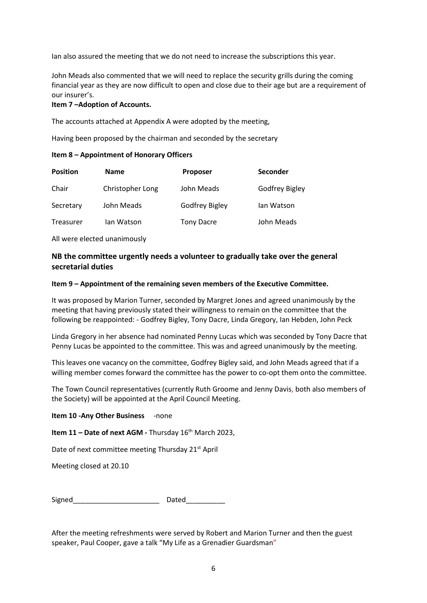Ian also assured the meeting that we do not need to increase the subscriptions this year.

John Meads also commented that we will need to replace the security grills during the coming financial year as they are now difficult to open and close due to their age but are a requirement of our insurer's.

#### **Item 7 –Adoption of Accounts.**

The accounts attached at Appendix A were adopted by the meeting,

Having been proposed by the chairman and seconded by the secretary

#### **Item 8 – Appointment of Honorary Officers**

| <b>Position</b> | <b>Name</b>      | <b>Proposer</b>   | <b>Seconder</b> |
|-----------------|------------------|-------------------|-----------------|
| Chair           | Christopher Long | John Meads        | Godfrey Bigley  |
| Secretary       | John Meads       | Godfrey Bigley    | lan Watson      |
| Treasurer       | lan Watson       | <b>Tony Dacre</b> | John Meads      |

All were elected unanimously

### **NB the committee urgently needs a volunteer to gradually take over the general secretarial duties**

#### **Item 9 – Appointment of the remaining seven members of the Executive Committee.**

It was proposed by Marion Turner, seconded by Margret Jones and agreed unanimously by the meeting that having previously stated their willingness to remain on the committee that the following be reappointed: - Godfrey Bigley, Tony Dacre, Linda Gregory, Ian Hebden, John Peck

Linda Gregory in her absence had nominated Penny Lucas which was seconded by Tony Dacre that Penny Lucas be appointed to the committee. This was and agreed unanimously by the meeting.

This leaves one vacancy on the committee, Godfrey Bigley said, and John Meads agreed that if a willing member comes forward the committee has the power to co-opt them onto the committee.

The Town Council representatives (currently Ruth Groome and Jenny Davis, both also members of the Society) will be appointed at the April Council Meeting.

#### **Item 10 -Any Other Business** -none

**Item 11 – Date of next AGM -** Thursday 16<sup>th</sup> March 2023,

Date of next committee meeting Thursday 21<sup>st</sup> April

Meeting closed at 20.10

| Signed<br>$-$ |  |
|---------------|--|
|---------------|--|

After the meeting refreshments were served by Robert and Marion Turner and then the guest speaker, Paul Cooper, gave a talk "My Life as a Grenadier Guardsman"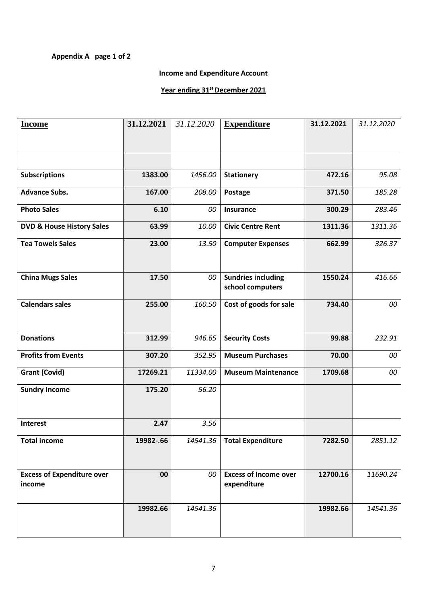## **Appendix A page 1 of 2**

## **Income and Expenditure Account**

## **Year ending 31st December 2021**

| <b>Income</b>                               | 31.12.2021 | 31.12.2020 | <b>Expenditure</b>                            | 31.12.2021 | 31.12.2020 |
|---------------------------------------------|------------|------------|-----------------------------------------------|------------|------------|
|                                             |            |            |                                               |            |            |
|                                             |            |            |                                               |            |            |
| <b>Subscriptions</b>                        | 1383.00    | 1456.00    | <b>Stationery</b>                             | 472.16     | 95.08      |
| <b>Advance Subs.</b>                        | 167.00     | 208.00     | Postage                                       | 371.50     | 185.28     |
| <b>Photo Sales</b>                          | 6.10       | 00         | Insurance                                     | 300.29     | 283.46     |
| <b>DVD &amp; House History Sales</b>        | 63.99      | 10.00      | <b>Civic Centre Rent</b>                      | 1311.36    | 1311.36    |
| <b>Tea Towels Sales</b>                     | 23.00      | 13.50      | <b>Computer Expenses</b>                      | 662.99     | 326.37     |
| <b>China Mugs Sales</b>                     | 17.50      | 00         | <b>Sundries including</b><br>school computers | 1550.24    | 416.66     |
| <b>Calendars sales</b>                      | 255.00     | 160.50     | Cost of goods for sale                        | 734.40     | 00         |
| <b>Donations</b>                            | 312.99     | 946.65     | <b>Security Costs</b>                         | 99.88      | 232.91     |
| <b>Profits from Events</b>                  | 307.20     | 352.95     | <b>Museum Purchases</b>                       | 70.00      | 00         |
| <b>Grant (Covid)</b>                        | 17269.21   | 11334.00   | <b>Museum Maintenance</b>                     | 1709.68    | 00         |
| <b>Sundry Income</b>                        | 175.20     | 56.20      |                                               |            |            |
| <b>Interest</b>                             | 2.47       | 3.56       |                                               |            |            |
| <b>Total income</b>                         | 19982-.66  |            | 14541.36   Total Expenditure                  | 7282.50    | 2851.12    |
| <b>Excess of Expenditure over</b><br>income | 00         | 00         | <b>Excess of Income over</b><br>expenditure   | 12700.16   | 11690.24   |
|                                             | 19982.66   | 14541.36   |                                               | 19982.66   | 14541.36   |